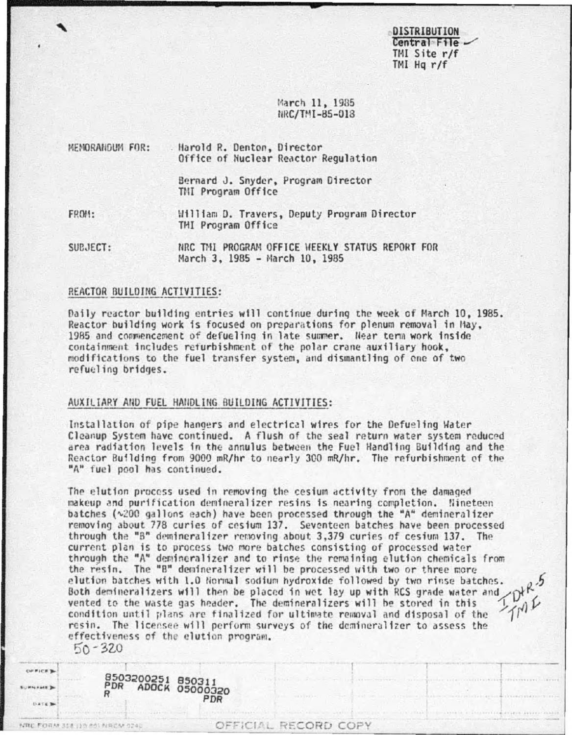**DISTRIBUTION** Central File -TMI Site r/f  $TM$  Hq  $r/f$ 

March 11, 1985 NRC/TMI-85-018

| MEMORANDUM FOR: | Harold R. Denton, Director<br>Office of Nuclear Reactor Regulation |
|-----------------|--------------------------------------------------------------------|
|                 | Bernard J. Snyder, Program Director<br>TMI Program Office          |
| FROM:           | William D. Travers, Deputy Program Director<br>TMI Program Office  |
| SUBJECT:        | NRC TMI PROGRAM OFFICE HEEKLY STATUS REPORT FOR                    |

March 3, 1985 - March 10, 1985

#### REACTOR BUILDING ACTIVITIES:

Daily reactor building entries will continue during the week of March 10, 1985. Reactor building work is focused on preparations for plenum removal in May, 1985 and commencement of defueling in late summer. Near term work inside containment includes refurbishment of the polar crane auxiliary hook, modifications to the fuel transfer system, and dismantling of one of two refueling bridges.

#### AUXILIARY AND FUEL HANDLING BUILDING ACTIVITIES:

Installation of pipe hangers and electrical wires for the Defueling Water Cleanup System have continued. A flush of the seal return water system reduced area radiation levels in the annulus between the Fuel Handling Building and the Reactor Building from 9000 mR/hr to nearly 300 mR/hr. The refurbishment of the "A" fuel pool has continued.

The elution process used in removing the cesium activity from the damaged makeup and purification demineralizer resins is nearing completion. Nineteen batches (~200 gallons each) have been processed through the "A" demineralizer removing about 778 curies of cesium 137. Seventeen batches have been processed through the "B" demineralizer removing about 3,379 curies of cesium 137. The current plan is to process two more batches consisting of processed water through the "A" demineralizer and to rinse the remaining elution chemicals from the resin. The "B" demineralizer will be processed with two or three more elution batches with 1.0 Normal sodium hydroxide followed by two rinse batches. Both demineralizers will then be placed in wet lay up with RCS grade water and vented to the waste gas header. The demineralizers will be stored in this condition until plans are finalized for ultimate removal and disposal of the resin. The licensee will perform surveys of the demineralizer to assess the effectiveness of the elution program.

 $50 - 320$ 

**OFFICES** 

| <b>MALFALE</b>      | PDR | <b>ADOCK 05000320</b><br>PDR |
|---------------------|-----|------------------------------|
| <b>UST&amp; 300</b> |     |                              |
|                     |     |                              |
| NBC FORALITI        |     |                              |

8503200251 850211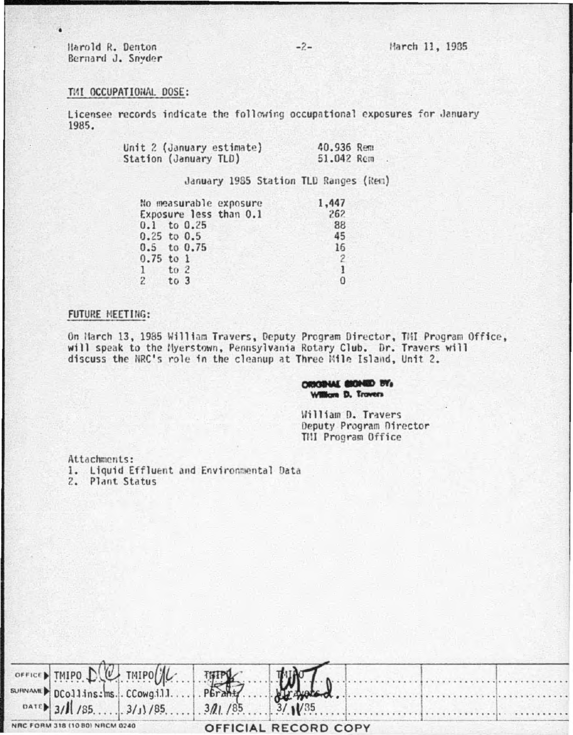Harold R. Denton Bernard J. Snyder

### TMI OCCUPATIONAL DOSE:

Licensee records indicate the following occupational exposures for January 1985.

| Unit 2 (January estimate) | 40.936 Rem |  |
|---------------------------|------------|--|
| Station (January TLD)     | 51.042 Rem |  |

## January 1985 Station TLD Ranges (Ren)

|               | No measurable exposure |  |  | 1,447 |  |
|---------------|------------------------|--|--|-------|--|
|               | Exposure less than 0.1 |  |  | 262   |  |
|               | $0.1$ to $0.25$        |  |  | 88    |  |
|               | $0.25$ to $0.5$        |  |  | 45    |  |
|               | $0.5$ to $0.75$        |  |  | 16    |  |
| $0.75$ to 1   |                        |  |  |       |  |
| $\frac{1}{1}$ | $to$ 2                 |  |  |       |  |
| $2 \tto 3$    |                        |  |  | O     |  |

#### FUTURE MEETING:

On March 13, 1985 William Travers, Deputy Program Director, TMI Program Office, will speak to the Nyerstown, Pennsylvania Rotary Club. Dr. Travers will discuss the NRC's role in the cleanup at Three Mile Island, Unit 2.

> ORIGINAL BEONED BY, **William D. Trovers**

William D. Travers Deputy Program Director THI Program Office

. . . . . . .

Attachments: 1. Liquid Effluent and Environmental Data 2. Plant Status

|                                |  | OFFICED TMIPO DU TMIPO H THIPS HAND DU     |  |  |
|--------------------------------|--|--------------------------------------------|--|--|
|                                |  | DATE 3/1 / 85. 3/1 / 85. 3/1 / 85 3/1 / 85 |  |  |
| NRC FORM 318 (10 80) NRCM 0240 |  | OFFICIAL RECORD COPY                       |  |  |

 $-2-$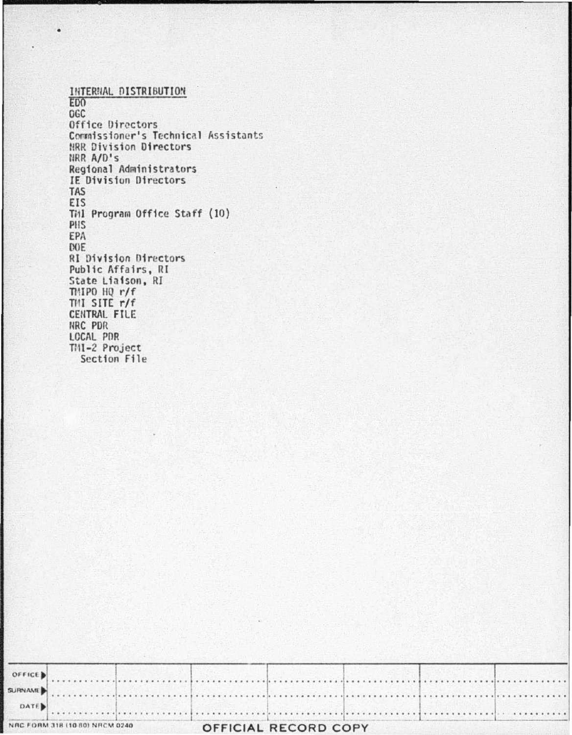INTERNAL DISTRIBUTION E<sub>D</sub>O OGC Office Directors Commissioner's Technical Assistants HRR Division Directors NRR A/D's Regional Administrators IE Division Directors **TAS** EIS Till Program Office Staff (10) PHS EPA DOE **RI Division Directors** Public Affairs, RI State Liaison, RI TMIPO HQ r/f THI SITE r/f CENTRAL FILE NRC PDR LOCAL PDR TMI-2 Project Section File

٠

|                | NAC FORM 318 (10.80) NRCM 0240 |                                                                                                                   | <b>OFFICIAL RECORD COPY</b> |  |  |  |
|----------------|--------------------------------|-------------------------------------------------------------------------------------------------------------------|-----------------------------|--|--|--|
| DATE           |                                |                                                                                                                   |                             |  |  |  |
| <b>SURNAME</b> |                                |                                                                                                                   |                             |  |  |  |
| OFFICE         |                                | and the second control of the second control of the second control of the second control of the second control of |                             |  |  |  |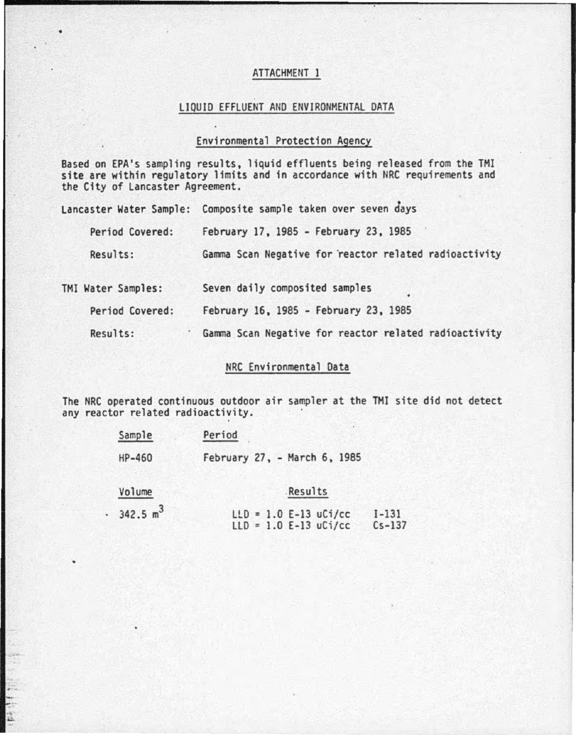## ATTACHMENT 1

#### LIQUID EFFLUENT AND ENVIRONMENTAL DATA

## Environmental Protection Agency

Based on EPA's sampling results, liquid effluents being released from the TMI site are within regulatory limits and in accordance with NRC requirements and the City of Lancaster Agreement.

| Lancaster Water Sample: | Composite sample taken over seven days                |
|-------------------------|-------------------------------------------------------|
| Period Covered:         | February 17, 1985 - February 23, 1985                 |
| Results:                | Gamma Scan Negative for reactor related radioactivity |
| TMI Water Samples:      | Seven daily composited samples                        |
| Period Covered:         | February 16, 1985 - February 23, 1985                 |
| Results:                | Gamma Scan Negative for reactor related radioactivity |

## NRC Environmental Data

The NRC operated continuous outdoor air sampler at the TMI site did not detect any reactor related radioactivity.

| Sample | Period                       |  |  |
|--------|------------------------------|--|--|
| HP-460 | February 27, - March 6, 1985 |  |  |

Volume

,, ...

#### Results

| 342.5 m <sup>3</sup> |  | $LLD = 1.0 E-13 uCi/cc I-131$    |  |
|----------------------|--|----------------------------------|--|
|                      |  | $LLD = 1.0 E-13 uCi/cc$ $Cs-137$ |  |